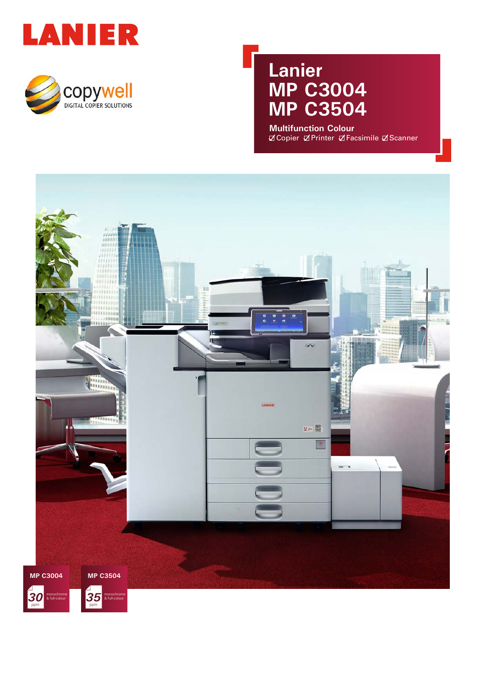



### **Lanier MP C3004 MP C3504**

**Multifunction Colour Z** Copier Z Printer Z Facsimile Z Scanner

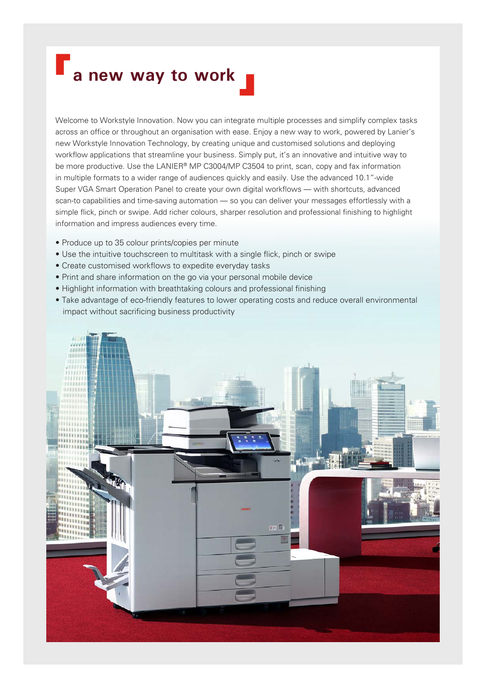# **a** new way to work

Welcome to Workstyle Innovation. Now you can integrate multiple processes and simplify complex tasks across an office or throughout an organisation with ease. Enjoy a new way to work, powered by Lanier's new Workstyle Innovation Technology, by creating unique and customised solutions and deploying workflow applications that streamline your business. Simply put, it's an innovative and intuitive way to be more productive. Use the LANIER® MP C3004/MP C3504 to print, scan, copy and fax information in multiple formats to a wider range of audiences quickly and easily. Use the advanced 10.1"-wide Super VGA Smart Operation Panel to create your own digital workflows — with shortcuts, advanced scan-to capabilities and time-saving automation — so you can deliver your messages effortlessly with a simple flick, pinch or swipe. Add richer colours, sharper resolution and professional finishing to highlight information and impress audiences every time.

- Produce up to 35 colour prints/copies per minute
- Use the intuitive touchscreen to multitask with a single flick, pinch or swipe
- Create customised workflows to expedite everyday tasks
- Print and share information on the go via your personal mobile device
- Highlight information with breathtaking colours and professional finishing
- Take advantage of eco-friendly features to lower operating costs and reduce overall environmental impact without sacrificing business productivity

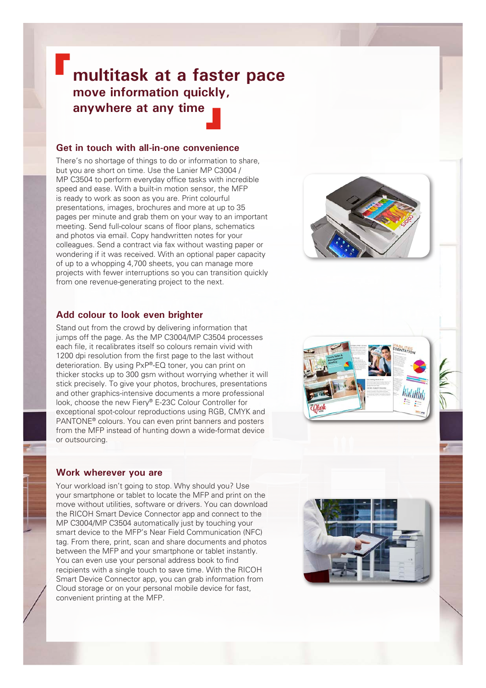### **multitask at a faster pace move information quickly, anywhere at any time**

#### **Get in touch with all-in-one convenience**

There's no shortage of things to do or information to share, but you are short on time. Use the Lanier MP C3004 / MP C3504 to perform everyday office tasks with incredible speed and ease. With a built-in motion sensor, the MFP is ready to work as soon as you are. Print colourful presentations, images, brochures and more at up to 35 pages per minute and grab them on your way to an important meeting. Send full-colour scans of floor plans, schematics and photos via email. Copy handwritten notes for your colleagues. Send a contract via fax without wasting paper or wondering if it was received. With an optional paper capacity of up to a whopping 4,700 sheets, you can manage more projects with fewer interruptions so you can transition quickly from one revenue-generating project to the next.



#### **Add colour to look even brighter**

Stand out from the crowd by delivering information that jumps off the page. As the MP C3004/MP C3504 processes each file, it recalibrates itself so colours remain vivid with 1200 dpi resolution from the first page to the last without deterioration. By using PxP®-EQ toner, you can print on thicker stocks up to 300 gsm without worrying whether it will stick precisely. To give your photos, brochures, presentations and other graphics-intensive documents a more professional look, choose the new Fiery® E-23C Colour Controller for exceptional spot-colour reproductions using RGB, CMYK and PANTONE® colours. You can even print banners and posters from the MFP instead of hunting down a wide-format device or outsourcing.

#### **Work wherever you are**

Your workload isn't going to stop. Why should you? Use your smartphone or tablet to locate the MFP and print on the move without utilities, software or drivers. You can download the RICOH Smart Device Connector app and connect to the MP C3004/MP C3504 automatically just by touching your smart device to the MFP's Near Field Communication (NFC) tag. From there, print, scan and share documents and photos between the MFP and your smartphone or tablet instantly. You can even use your personal address book to find recipients with a single touch to save time. With the RICOH Smart Device Connector app, you can grab information from Cloud storage or on your personal mobile device for fast, convenient printing at the MFP.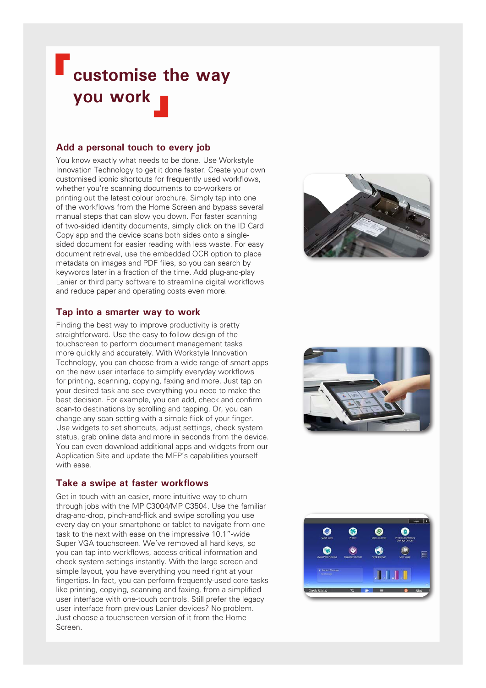## **customise the way you work**

### **Add a personal touch to every job**

You know exactly what needs to be done. Use Workstyle Innovation Technology to get it done faster. Create your own customised iconic shortcuts for frequently used workflows, whether you're scanning documents to co-workers or printing out the latest colour brochure. Simply tap into one of the workflows from the Home Screen and bypass several manual steps that can slow you down. For faster scanning of two-sided identity documents, simply click on the ID Card Copy app and the device scans both sides onto a singlesided document for easier reading with less waste. For easy document retrieval, use the embedded OCR option to place metadata on images and PDF files, so you can search by keywords later in a fraction of the time. Add plug-and-play Lanier or third party software to streamline digital workflows and reduce paper and operating costs even more.

#### **Tap into a smarter way to work**

Finding the best way to improve productivity is pretty straightforward. Use the easy-to-follow design of the touchscreen to perform document management tasks more quickly and accurately. With Workstyle Innovation Technology, you can choose from a wide range of smart apps on the new user interface to simplify everyday workflows for printing, scanning, copying, faxing and more. Just tap on your desired task and see everything you need to make the best decision. For example, you can add, check and confirm scan-to destinations by scrolling and tapping. Or, you can change any scan setting with a simple flick of your finger. Use widgets to set shortcuts, adjust settings, check system status, grab online data and more in seconds from the device. You can even download additional apps and widgets from our Application Site and update the MFP's capabilities yourself with ease.

#### **Take a swipe at faster workflows**

Get in touch with an easier, more intuitive way to churn through jobs with the MP C3004/MP C3504. Use the familiar drag-and-drop, pinch-and-flick and swipe scrolling you use every day on your smartphone or tablet to navigate from one task to the next with ease on the impressive 10.1"-wide Super VGA touchscreen. We've removed all hard keys, so you can tap into workflows, access critical information and check system settings instantly. With the large screen and simple layout, you have everything you need right at your fingertips. In fact, you can perform frequently-used core tasks like printing, copying, scanning and faxing, from a simplified user interface with one-touch controls. Still prefer the legacy user interface from previous Lanier devices? No problem. Just choose a touchscreen version of it from the Home Screen.





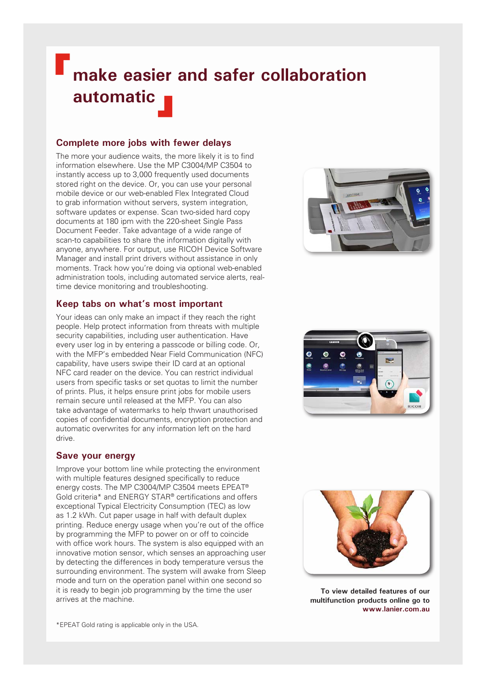## **make easier and safer collaboration automatic**

### **Complete more jobs with fewer delays**

The more your audience waits, the more likely it is to find information elsewhere. Use the MP C3004/MP C3504 to instantly access up to 3,000 frequently used documents stored right on the device. Or, you can use your personal mobile device or our web-enabled Flex Integrated Cloud to grab information without servers, system integration, software updates or expense. Scan two-sided hard copy documents at 180 ipm with the 220-sheet Single Pass Document Feeder. Take advantage of a wide range of scan-to capabilities to share the information digitally with anyone, anywhere. For output, use RICOH Device Software Manager and install print drivers without assistance in only moments. Track how you're doing via optional web-enabled administration tools, including automated service alerts, realtime device monitoring and troubleshooting.

### **Keep tabs on what's most important**

Your ideas can only make an impact if they reach the right people. Help protect information from threats with multiple security capabilities, including user authentication. Have every user log in by entering a passcode or billing code. Or, with the MFP's embedded Near Field Communication (NFC) capability, have users swipe their ID card at an optional NFC card reader on the device. You can restrict individual users from specific tasks or set quotas to limit the number of prints. Plus, it helps ensure print jobs for mobile users remain secure until released at the MFP. You can also take advantage of watermarks to help thwart unauthorised copies of confidential documents, encryption protection and automatic overwrites for any information left on the hard drive.

### **Save your energy**

Improve your bottom line while protecting the environment with multiple features designed specifically to reduce energy costs. The MP C3004/MP C3504 meets EPEAT® Gold criteria\* and ENERGY STAR® certifications and offers exceptional Typical Electricity Consumption (TEC) as low as 1.2 kWh. Cut paper usage in half with default duplex printing. Reduce energy usage when you're out of the office by programming the MFP to power on or off to coincide with office work hours. The system is also equipped with an innovative motion sensor, which senses an approaching user by detecting the differences in body temperature versus the surrounding environment. The system will awake from Sleep mode and turn on the operation panel within one second so it is ready to begin job programming by the time the user arrives at the machine.







**To view detailed features of our multifunction products online go to www.lanier.com.au** 

\*EPEAT Gold rating is applicable only in the USA.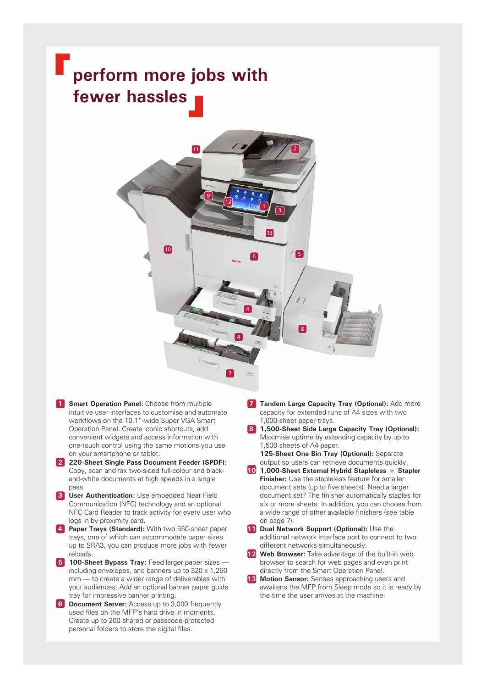## **perform more jobs with fewer hassles**



- **1 Smart Operation Panel:** Choose from multiple intuitive user interfaces to customise and automate workflows on the 10.1"-wide Super VGA Smart Operation Panel. Create iconic shortcuts, add convenient widgets and access information with one-touch control using the same motions you use on your smartphone or tablet.
- **2 220-Sheet Single Pass Document Feeder (SPDF):**  Copy, scan and fax two-sided full-colour and blackand-white documents at high speeds in a single pass.
- **3 User Authentication:** Use embedded Near Field Communication (NFC) technology and an optional NFC Card Reader to track activity for every user who logs in by proximity card.
- **4 Paper Trays (Standard):** With two 550-sheet paper trays, one of which can accommodate paper sizes up to SRA3, you can produce more jobs with fewer reloads.
- **5 100-Sheet Bypass Tray:** Feed larger paper sizes including envelopes, and banners up to  $320 \times 1,260$ mm — to create a wider range of deliverables with your audiences. Add an optional banner paper guide tray for impressive banner printing.
- **6 Document Server:** Access up to 3,000 frequently used files on the MFP's hard drive in moments. Create up to 200 shared or passcode-protected personal folders to store the digital files.
- **7 Tandem Large Capacity Tray (Optional):** Add more capacity for extended runs of A4 sizes with two 1,000-sheet paper trays.
- **8 1,500-Sheet Side Large Capacity Tray (Optional):**  Maximise uptime by extending capacity by up to 1,500 sheets of A4 paper. **9 125-Sheet One Bin Tray (Optional):** Separate

output so users can retrieve documents quickly.

- **10 1,000-Sheet External Hybrid Stapleless + Stapler Finisher:** Use the stapleless feature for smaller document sets (up to five sheets). Need a larger document set? The finisher automatically staples for six or more sheets. In addition, you can choose from a wide range of other available finishers (see table on page 7).
- **11 Dual Network Support (Optional):** Use the additional network interface port to connect to two different networks simultaneously.
- **12 Web Browser:** Take advantage of the built-in web browser to search for web pages and even print directly from the Smart Operation Panel.
- **13 Motion Sensor:** Senses approaching users and awakens the MFP from Sleep mode so it is ready by the time the user arrives at the machine.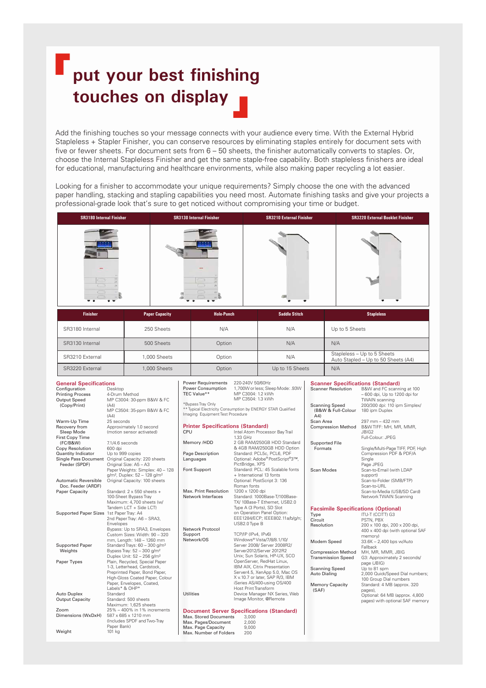## **put your best finishing touches on display**

Add the finishing touches so your message connects with your audience every time. With the External Hybrid Stapleless + Stapler Finisher, you can conserve resources by eliminating staples entirely for document sets with five or fewer sheets. For document sets from 6 – 50 sheets, the finisher automatically converts to staples. Or, choose the Internal Stapleless Finisher and get the same staple-free capability. Both stapleless finishers are ideal for educational, manufacturing and healthcare environments, while also making paper recycling a lot easier.

Looking for a finisher to accommodate your unique requirements? Simply choose the one with the advanced paper handling, stacking and stapling capabilities you need most. Automate finishing tasks and give your projects a professional-grade look that's sure to get noticed without compromising your time or budget.

| <b>SR3180 Internal Finisher</b> | <b>SR3130 Internal Finisher</b> | <b>SR3210 External Finisher</b> | <b>SR3220 External Booklet Finisher</b> |
|---------------------------------|---------------------------------|---------------------------------|-----------------------------------------|
|                                 |                                 |                                 |                                         |
|                                 |                                 |                                 |                                         |

| <b>Finisher</b> | <b>Paper Capacity</b> | <b>Hole-Punch</b> | <b>Saddle Stitch</b> | <b>Stapleless</b>                                                  |
|-----------------|-----------------------|-------------------|----------------------|--------------------------------------------------------------------|
| SR3180 Internal | 250 Sheets            | N/A               | N/A                  | Up to 5 Sheets                                                     |
| SR3130 Internal | 500 Sheets            | Option            | N/A                  | N/A                                                                |
| SR3210 External | .000 Sheets           | Option            | N/A                  | Stapleless - Up to 5 Sheets<br>Auto Stapled - Up to 50 Sheets (A4) |
| SR3220 External | 1,000 Sheets          | Option            | Up to 15 Sheets      | N/A                                                                |

#### **General Specifications**<br> **Configuration** Desktop Configuration Printing Process<br>Output Speed Desκιορ<br>4-Drum Method<br>MP C3004: 30-ppm B&W & FC<br>(Δ4) (Copy/Print) MP C3504: 35-ppm B&W & FC (A4) Warm-Up Time<br>Recovery from<br>Sleep Mode 25 seconds<br>Approximately 1.0 second (motion sensor activated) First Copy Time<br>(FC/B&W) **Doc. Feeder (ARDF)**<br>Paper Capacity

Weight

 $7.1/4.6$  seconds Copy Resolution 600 dpi Quantity Indicator Up to 999 copies Single Pass Document Original Capacity: 220 sheets Feeder (SPDF) Original Size: A5 – A3 Paper Weights: Simplex: 40 – 128 g/m², Duplex: 52 – 128 g/m² Automatic Reversible Original Capacity: 100 sheets Standard:  $2 \times 550$  sheets + 100-Sheet Bypass Tray Maximum: 4,700 sheets (w/ Tandem LCT + Side LCT) Supported Paper Sizes 1st Paper Tray: A4 2nd Paper Tray: A6 – SRA3, Envelopes Bypass: Up to SRA3, Envelopes Custom Sizes: Width: 90 – 320 mm, Length: 148 – 1260 mm Supported Paper Standard Trays: 60 – 300 g/m<sup>2</sup> Weights Bypass Tray: 52 – 300 g/m² Duplex Unit: 52 – 256 g/m² Paper Types Plain, Recycled, Special Paper 1-3, Letterhead, Cardstock, Preprinted Paper, Bond Paper, High-Gloss Coated Paper, Colour Paper, Envelopes, Coated, Labels\* & OHP\* Auto Duplex Standard Output Capacity Standard: 500 sheets Maximum: 1,625 sheets Zoom 25% – 400% in 1% increments Dimensions (WxDxH) 587 x 685 x 1210 mm (Includes SPDF and Two-Tray Paper Bank)<br>101 kg

Power Requirements 220-240V 50/60Hz<br>Power Consumption 1,700W or less; Sle Power Consumption 1,700W or less; Sleep Mode: .93W TEC Value\*\* MP C3004: 1.2 kWh MP C3504: 1.3 kWh \*Bypass Tray Only ypass hay only<br>\* Typical Electricity Consumption by ENERGY STAR Qualified Imaging Equipment Test Procedure

#### **Printer Specifications (Standard)**<br>CPU Intel Atom Proces Intel Atom Processor Bay Trail 1.33 GHz Memory /HDD 2 GB RAM/250GB HDD Standard & 4GB RAM/250GB HDD Option Page Description Standard: PCL5c, PCL6, PDF Languages Optional: Adobe® PostScript®3™, PictBridge, XPS Font Support Standard: PCL: 45 Scalable fonts + International 13 fonts Optional: PostScript 3: 136 Roman fonts Max. Print Resolution 1200 x 1200 dpi<br>Network Interfaces Standard: 1000F Standard: 1000Base-T/100Base-TX/ 10Base-T Ethernet, USB2.0 Type A (3 Ports), SD Slot on Operation Panel Option: EEE1284/ECP; IEEE802.11a/b/g/n; USB2.0 Type B Network Protocol Support TCP/IP (IPv4, IPv6)<br>Network/OS Windows® Vista/7/ Windows® Vista/7/8/8.1/10/ Server 2008/ Server 2008R2/ Server2012/Server 2012R2 Unix; Sun Solaris, HP-UX, SCO OpenServer, RedHat Linux, IBM AIX, Citrix Presentation Server4.5, XenApp 5.0, Mac OS X v.10.7 or later, SAP R/3, IBM iSeries AS/400-using OS/400 Host Print Transform Utilities Device Manager NX Series, Web Image Monitor, @Remote **Document Server Specifications (Standard)**

Max. Stored Documents 3,000 Max. Pages/Document 2,000 Max. Page Capacity 9,000 Max. Number of Folders 200

| <b>Scanner Specifications (Standard)</b>           |                                                                                       |
|----------------------------------------------------|---------------------------------------------------------------------------------------|
| <b>Scanner Resolution</b>                          | B&W and FC scanning at 100<br>$-600$ dpi, Up to 1200 dpi for<br><b>TWAIN</b> scanning |
| <b>Scanning Speed</b><br>(B&W & Full-Colour<br>A4) | 200/300 dpi: 110 ipm Simplex/<br>180 ipm Duplex                                       |
| Scan Area<br><b>Compression Method</b>             | 297 mm – 432 mm<br>B&WTIFF: MH, MR, MMR,                                              |
|                                                    | JBIG2                                                                                 |
|                                                    | Full-Colour: JPEG                                                                     |
| <b>Supported File</b>                              |                                                                                       |
| Formats                                            | Single/Multi-Page TIFF, PDF, High<br>Compression PDF & PDF/A<br>Single                |
|                                                    | Page JPEG                                                                             |
| Scan Modes                                         | Scan-to-Email (with LDAP<br>support)                                                  |
|                                                    | Scan-to-Folder (SMB/FTP)                                                              |
|                                                    | Scan-to-URL                                                                           |
|                                                    | Scan-to-Media (USB/SD Card)<br>Network TWAIN Scanning                                 |
|                                                    |                                                                                       |
| <b>Facsimile Specifications (Optional)</b>         |                                                                                       |
| Type                                               | ITU-T (CCITT) G3                                                                      |
| Circuit                                            | PSTN, PBX                                                                             |
| Resolution                                         | 200 x 100 dpi, 200 x 200 dpi,                                                         |
|                                                    | 400 x 400 dpi (with optional SAF                                                      |
|                                                    | memory)                                                                               |
| Modem Speed                                        | 33.6K - 2,400 bps w/Auto                                                              |
|                                                    | Fallback                                                                              |
| <b>Compression Method</b>                          | MH, MR, MMR, JBIG                                                                     |
| <b>Transmission Speed</b>                          | G3: Approximately 2 seconds/<br>page (JBIG)                                           |
| <b>Scanning Speed</b>                              | Up to 81 spm                                                                          |
| <b>Auto Dialing</b>                                | 2,000 Quick/Speed Dial numbers;                                                       |
|                                                    | 100 Group Dial numbers                                                                |
| <b>Memory Capacity</b>                             | Standard: 4 MB (approx. 320                                                           |
| (SAF)                                              | pages),                                                                               |

Optional: 64 MB (approx. 4,800 pages) with optional SAF memory